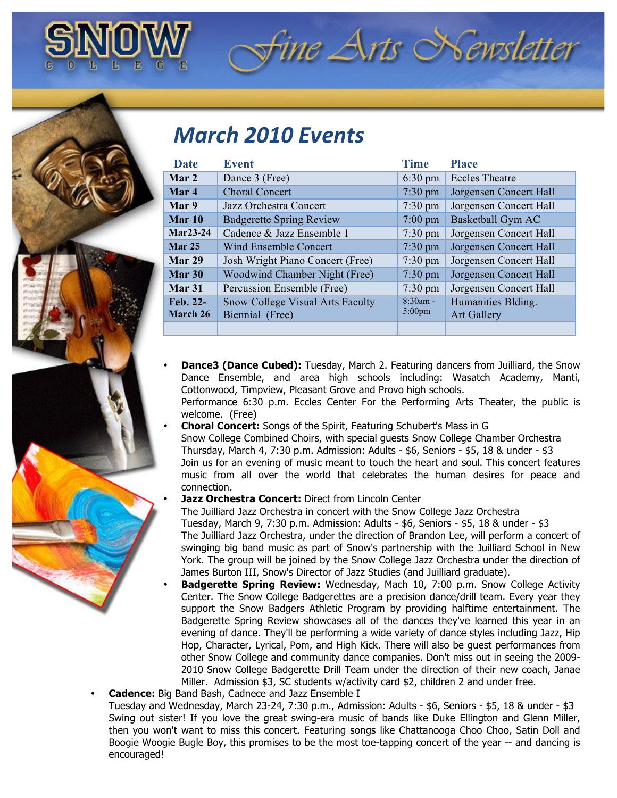

## *fine Arts* Newsletter

## *March&2010&Events*

| Date          | <b>Event</b>                            | <b>Time</b>       | <b>Place</b>           |
|---------------|-----------------------------------------|-------------------|------------------------|
| Mar 2         | Dance 3 (Free)                          | $6:30 \text{ pm}$ | <b>Eccles Theatre</b>  |
| Mar 4         | <b>Choral Concert</b>                   | $7:30 \text{ pm}$ | Jorgensen Concert Hall |
| Mar 9         | Jazz Orchestra Concert                  | $7:30 \text{ pm}$ | Jorgensen Concert Hall |
| Mar $10$      | <b>Badgerette Spring Review</b>         | $7:00 \text{ pm}$ | Basketball Gym AC      |
| Mar23-24      | Cadence & Jazz Ensemble 1               | $7:30 \text{ pm}$ | Jorgensen Concert Hall |
| <b>Mar 25</b> | Wind Ensemble Concert                   | $7:30 \text{ pm}$ | Jorgensen Concert Hall |
| Mar 29        | Josh Wright Piano Concert (Free)        | $7:30 \text{ pm}$ | Jorgensen Concert Hall |
| Mar 30        | Woodwind Chamber Night (Free)           | $7:30 \text{ pm}$ | Jorgensen Concert Hall |
| Mar 31        | Percussion Ensemble (Free)              | $7:30 \text{ pm}$ | Jorgensen Concert Hall |
| Feb. 22-      | <b>Snow College Visual Arts Faculty</b> | $8:30am -$        | Humanities Blding.     |
| March 26      | Biennial (Free)                         | $5:00 \text{pm}$  | <b>Art Gallery</b>     |
|               |                                         |                   |                        |

- **Dance3 (Dance Cubed):** Tuesday, March 2. Featuring dancers from Juilliard, the Snow Dance Ensemble, and area high schools including: Wasatch Academy, Manti, Cottonwood, Timpview, Pleasant Grove and Provo high schools. Performance 6:30 p.m. Eccles Center For the Performing Arts Theater, the public is welcome. (Free)
- **Choral Concert:** Songs of the Spirit, Featuring Schubert's Mass in G Snow College Combined Choirs, with special guests Snow College Chamber Orchestra Thursday, March 4, 7:30 p.m. Admission: Adults - \$6, Seniors - \$5, 18 & under - \$3 Join us for an evening of music meant to touch the heart and soul. This concert features music from all over the world that celebrates the human desires for peace and connection.
- **Jazz Orchestra Concert: Direct from Lincoln Center**

The Juilliard Jazz Orchestra in concert with the Snow College Jazz Orchestra Tuesday, March 9, 7:30 p.m. Admission: Adults - \$6, Seniors - \$5, 18 & under - \$3 The Juilliard Jazz Orchestra, under the direction of Brandon Lee, will perform a concert of swinging big band music as part of Snow's partnership with the Juilliard School in New York. The group will be joined by the Snow College Jazz Orchestra under the direction of James Burton III, Snow's Director of Jazz Studies (and Juilliard graduate).

- **Badgerette Spring Review:** Wednesday, Mach 10, 7:00 p.m. Snow College Activity Center. The Snow College Badgerettes are a precision dance/drill team. Every year they support the Snow Badgers Athletic Program by providing halftime entertainment. The Badgerette Spring Review showcases all of the dances they've learned this year in an evening of dance. They'll be performing a wide variety of dance styles including Jazz, Hip Hop, Character, Lyrical, Pom, and High Kick. There will also be guest performances from other Snow College and community dance companies. Don't miss out in seeing the 2009- 2010 Snow College Badgerette Drill Team under the direction of their new coach, Janae Miller. Admission \$3, SC students w/activity card \$2, children 2 and under free.
- **Cadence:** Big Band Bash, Cadnece and Jazz Ensemble I Tuesday and Wednesday, March 23-24, 7:30 p.m., Admission: Adults - \$6, Seniors - \$5, 18 & under - \$3 Swing out sister! If you love the great swing-era music of bands like Duke Ellington and Glenn Miller, then you won't want to miss this concert. Featuring songs like Chattanooga Choo Choo, Satin Doll and Boogie Woogie Bugle Boy, this promises to be the most toe-tapping concert of the year -- and dancing is encouraged!